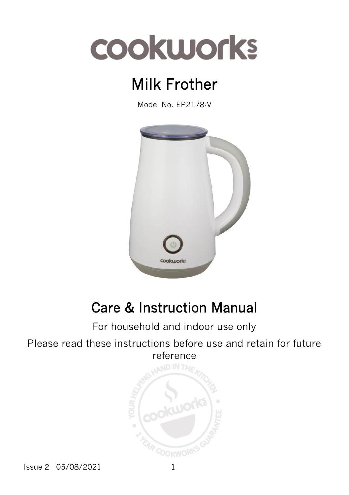# Milk Frother

Model No. EP2178-V



## Care & Instruction Manual

#### For household and indoor use only

Please read these instructions before use and retain for future reference



Issue 2 05/08/2021 1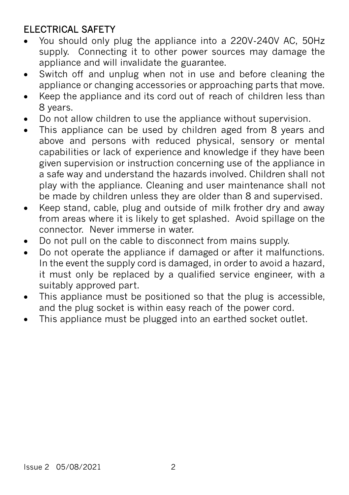#### ELECTRICAL SAFETY

- You should only plug the appliance into a 220V-240V AC, 50Hz supply. Connecting it to other power sources may damage the appliance and will invalidate the guarantee.
- Switch off and unplug when not in use and before cleaning the appliance or changing accessories or approaching parts that move.
- Keep the appliance and its cord out of reach of children less than 8 years.
- Do not allow children to use the appliance without supervision.
- This appliance can be used by children aged from 8 years and above and persons with reduced physical, sensory or mental capabilities or lack of experience and knowledge if they have been given supervision or instruction concerning use of the appliance in a safe way and understand the hazards involved. Children shall not play with the appliance. Cleaning and user maintenance shall not be made by children unless they are older than 8 and supervised.
- Keep stand, cable, plug and outside of milk frother dry and away from areas where it is likely to get splashed. Avoid spillage on the connector. Never immerse in water.
- Do not pull on the cable to disconnect from mains supply.
- Do not operate the appliance if damaged or after it malfunctions. In the event the supply cord is damaged, in order to avoid a hazard, it must only be replaced by a qualified service engineer, with a suitably approved part.
- This appliance must be positioned so that the plug is accessible, and the plug socket is within easy reach of the power cord.
- This appliance must be plugged into an earthed socket outlet.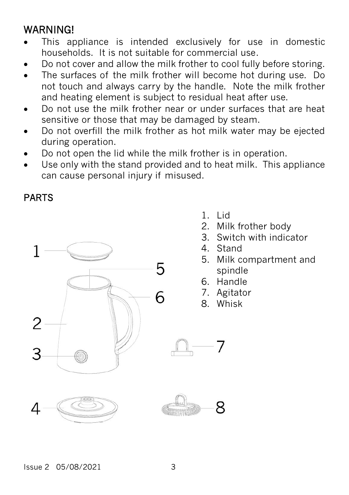#### **WARNING!**

- This appliance is intended exclusively for use in domestic households. It is not suitable for commercial use.
- Do not cover and allow the milk frother to cool fully before storing.
- The surfaces of the milk frother will become hot during use. Do not touch and always carry by the handle. Note the milk frother and heating element is subject to residual heat after use.
- Do not use the milk frother near or under surfaces that are heat sensitive or those that may be damaged by steam.
- Do not overfill the milk frother as hot milk water may be ejected during operation.
- Do not open the lid while the milk frother is in operation.
- Use only with the stand provided and to heat milk. This appliance can cause personal injury if misused.

#### PARTS



- 1. Lid
- 2. Milk frother body
- 3. Switch with indicator
- 4. Stand
- 5. Milk compartment and spindle
- 6. Handle
- 7. Agitator
- 8. Whisk

R

 $Ising 2 05/08/2021$  3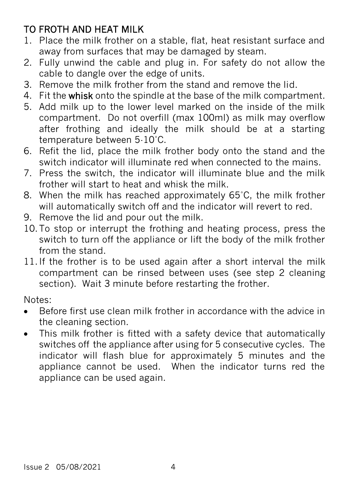#### TO FROTH AND HEAT MILK

- 1. Place the milk frother on a stable, flat, heat resistant surface and away from surfaces that may be damaged by steam.
- 2. Fully unwind the cable and plug in. For safety do not allow the cable to dangle over the edge of units.
- 3. Remove the milk frother from the stand and remove the lid.
- 4. Fit the whisk onto the spindle at the base of the milk compartment.
- 5. Add milk up to the lower level marked on the inside of the milk compartment. Do not overfill (max 100ml) as milk may overflow after frothing and ideally the milk should be at a starting temperature between 5-10˚C.
- 6. Refit the lid, place the milk frother body onto the stand and the switch indicator will illuminate red when connected to the mains.
- 7. Press the switch, the indicator will illuminate blue and the milk frother will start to heat and whisk the milk.
- 8. When the milk has reached approximately 65˚C, the milk frother will automatically switch off and the indicator will revert to red.
- 9. Remove the lid and pour out the milk.
- 10.To stop or interrupt the frothing and heating process, press the switch to turn off the appliance or lift the body of the milk frother from the stand.
- 11.If the frother is to be used again after a short interval the milk compartment can be rinsed between uses (see step 2 cleaning section). Wait 3 minute before restarting the frother.

Notes:

- Before first use clean milk frother in accordance with the advice in the cleaning section.
- This milk frother is fitted with a safety device that automatically switches off the appliance after using for 5 consecutive cycles. The indicator will flash blue for approximately 5 minutes and the appliance cannot be used. When the indicator turns red the appliance can be used again.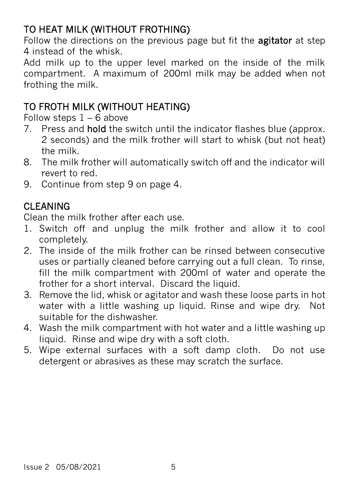#### TO HEAT MILK (WITHOUT FROTHING)

Follow the directions on the previous page but fit the **agitator** at step 4 instead of the whisk.

Add milk up to the upper level marked on the inside of the milk compartment. A maximum of 200ml milk may be added when not frothing the milk.

#### TO FROTH MILK (WITHOUT HEATING)

Follow steps  $1 - 6$  above

- 7. Press and hold the switch until the indicator flashes blue (approx. 2 seconds) and the milk frother will start to whisk (but not heat) the milk.
- 8. The milk frother will automatically switch off and the indicator will revert to red.
- 9. Continue from step 9 on page 4.

#### CLEANING

Clean the milk frother after each use.

- 1. Switch off and unplug the milk frother and allow it to cool completely.
- 2. The inside of the milk frother can be rinsed between consecutive uses or partially cleaned before carrying out a full clean. To rinse, fill the milk compartment with 200ml of water and operate the frother for a short interval. Discard the liquid.
- 3. Remove the lid, whisk or agitator and wash these loose parts in hot water with a little washing up liquid. Rinse and wipe dry. Not suitable for the dishwasher.
- 4. Wash the milk compartment with hot water and a little washing up liquid. Rinse and wipe dry with a soft cloth.
- 5. Wipe external surfaces with a soft damp cloth. Do not use detergent or abrasives as these may scratch the surface.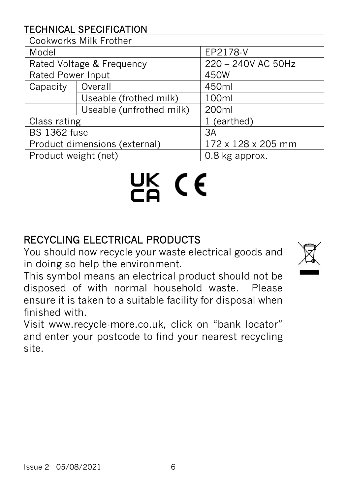#### TECHNICAL SPECIFICATION

| Cookworks Milk Frother        |                          |                    |
|-------------------------------|--------------------------|--------------------|
| Model                         |                          | EP2178-V           |
| Rated Voltage & Frequency     |                          | 220 - 240V AC 50Hz |
| Rated Power Input             |                          | 450W               |
| Capacity                      | Overall                  | 450ml              |
|                               | Useable (frothed milk)   | 100ml              |
|                               | Useable (unfrothed milk) | 200ml              |
| Class rating                  |                          | 1 (earthed)        |
| <b>BS 1362 fuse</b>           |                          | 3A                 |
| Product dimensions (external) |                          | 172 x 128 x 205 mm |
| Product weight (net)          |                          | 0.8 kg approx.     |

# UK (E

### RECYCLING ELECTRICAL PRODUCTS

You should now recycle your waste electrical goods and in doing so help the environment.



This symbol means an electrical product should not be disposed of with normal household waste. Please ensure it is taken to a suitable facility for disposal when finished with.

Visit www.recycle-more.co.uk, click on "bank locator" and enter your postcode to find your nearest recycling site.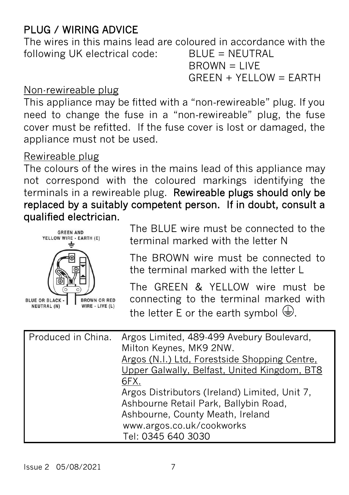#### PLUG / WIRING ADVICE

The wires in this mains lead are coloured in accordance with the following UK electrical code: BLUE = NEUTRAL

 $B$ ROWN = LIVE  $GREEN + YELLOW = EARTH$ 

#### Non-rewireable plug

This appliance may be fitted with a "non‐rewireable" plug. If you need to change the fuse in a "non‐rewireable" plug, the fuse cover must be refitted. If the fuse cover is lost or damaged, the appliance must not be used.

#### Rewireable plug

The colours of the wires in the mains lead of this appliance may not correspond with the coloured markings identifying the terminals in a rewireable plug. Rewireable plugs should only be replaced by a suitably competent person. If in doubt, consult a qualified electrician.



The BLUE wire must be connected to the terminal marked with the letter N

The BROWN wire must be connected to the terminal marked with the letter L

The GREEN & YELLOW wire must be connecting to the terminal marked with the letter E or the earth symbol  $\bigoplus$ [.](http://www.google.co.uk/url?sa=i&rct=j&q=&esrc=s&source=images&cd=&cad=rja&uact=8&ved=0ahUKEwjw08CS0cLTAhXCOxoKHTpEDRMQjRwIBw&url=http://fix-my-compressor.com/replace-compressor-pressure-switch-three/ground-symbol/&psig=AFQjCNGqtY0V-S7cUaB2Quy_Qq-bl_DgSQ&ust=1493313595817424)

| Produced in China. | Argos Limited, 489-499 Avebury Boulevard,<br>Milton Keynes, MK9 2NW. |
|--------------------|----------------------------------------------------------------------|
|                    |                                                                      |
|                    | Argos (N.I.) Ltd, Forestside Shopping Centre,                        |
|                    | Upper Galwally, Belfast, United Kingdom, BT8                         |
|                    | 6FX.                                                                 |
|                    | Argos Distributors (Ireland) Limited, Unit 7,                        |
|                    | Ashbourne Retail Park, Ballybin Road,                                |
|                    | Ashbourne, County Meath, Ireland                                     |
|                    | www.argos.co.uk/cookworks                                            |
|                    | Tel: 0345 640 3030                                                   |